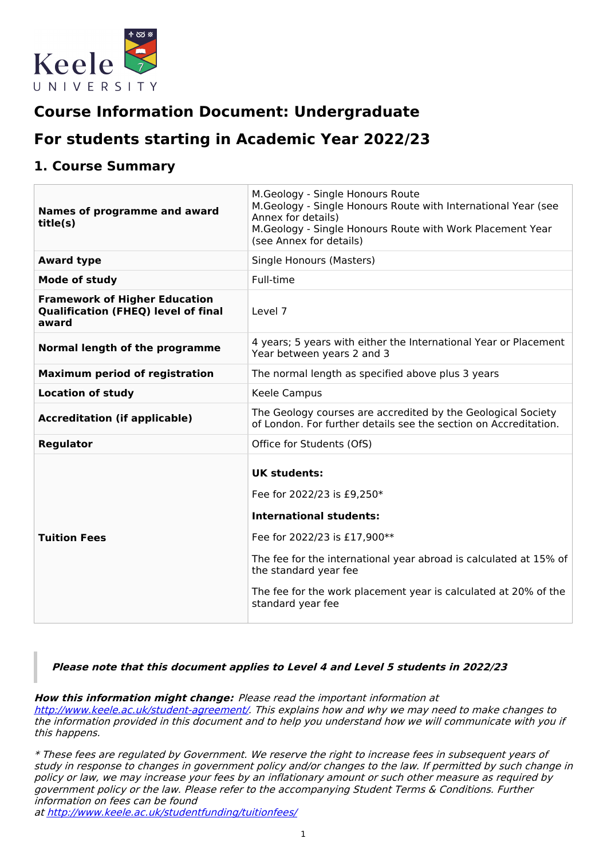

# **Course Information Document: Undergraduate**

# **For students starting in Academic Year 2022/23**

## **1. Course Summary**

| Names of programme and award<br>title(s)                                                    | M.Geology - Single Honours Route<br>M.Geology - Single Honours Route with International Year (see<br>Annex for details)<br>M.Geology - Single Honours Route with Work Placement Year<br>(see Annex for details)                                                                                           |
|---------------------------------------------------------------------------------------------|-----------------------------------------------------------------------------------------------------------------------------------------------------------------------------------------------------------------------------------------------------------------------------------------------------------|
| <b>Award type</b>                                                                           | Single Honours (Masters)                                                                                                                                                                                                                                                                                  |
| Mode of study                                                                               | Full-time                                                                                                                                                                                                                                                                                                 |
| <b>Framework of Higher Education</b><br><b>Qualification (FHEQ) level of final</b><br>award | Level 7                                                                                                                                                                                                                                                                                                   |
| Normal length of the programme                                                              | 4 years; 5 years with either the International Year or Placement<br>Year between years 2 and 3                                                                                                                                                                                                            |
| <b>Maximum period of registration</b>                                                       | The normal length as specified above plus 3 years                                                                                                                                                                                                                                                         |
| <b>Location of study</b>                                                                    | Keele Campus                                                                                                                                                                                                                                                                                              |
| <b>Accreditation (if applicable)</b>                                                        | The Geology courses are accredited by the Geological Society<br>of London. For further details see the section on Accreditation.                                                                                                                                                                          |
| Regulator                                                                                   | Office for Students (OfS)                                                                                                                                                                                                                                                                                 |
| <b>Tuition Fees</b>                                                                         | <b>UK students:</b><br>Fee for 2022/23 is £9,250*<br><b>International students:</b><br>Fee for 2022/23 is £17,900**<br>The fee for the international year abroad is calculated at 15% of<br>the standard year fee<br>The fee for the work placement year is calculated at 20% of the<br>standard year fee |

**Please note that this document applies to Level 4 and Level 5 students in 2022/23**

**How this information might change:** Please read the important information at <http://www.keele.ac.uk/student-agreement/>. This explains how and why we may need to make changes to the information provided in this document and to help you understand how we will communicate with you if this happens.

\* These fees are regulated by Government. We reserve the right to increase fees in subsequent years of study in response to changes in government policy and/or changes to the law. If permitted by such change in policy or law, we may increase your fees by an inflationary amount or such other measure as required by government policy or the law. Please refer to the accompanying Student Terms & Conditions. Further information on fees can be found

at <http://www.keele.ac.uk/studentfunding/tuitionfees/>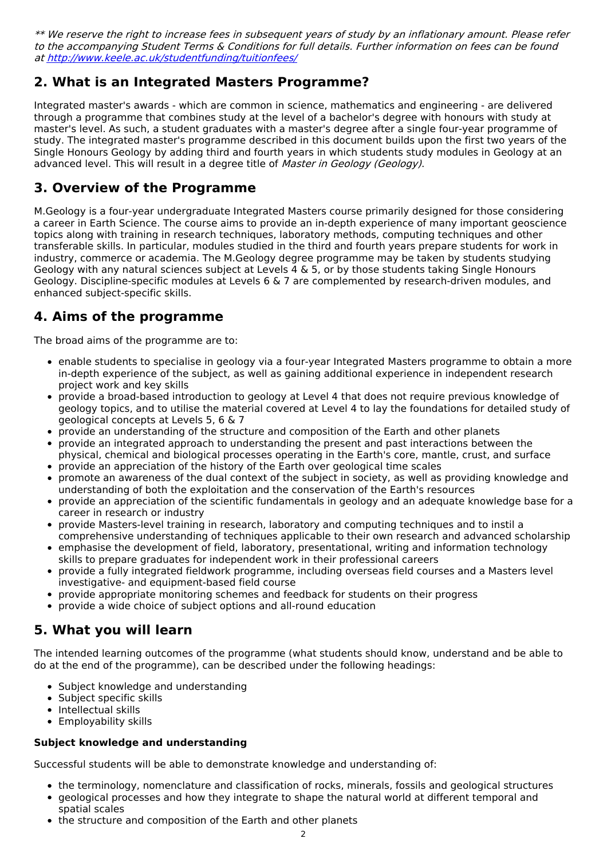\*\* We reserve the right to increase fees in subsequent years of study by an inflationary amount. Please refer to the accompanying Student Terms & Conditions for full details. Further information on fees can be found at <http://www.keele.ac.uk/studentfunding/tuitionfees/>

## **2. What is an Integrated Masters Programme?**

Integrated master's awards - which are common in science, mathematics and engineering - are delivered through a programme that combines study at the level of a bachelor's degree with honours with study at master's level. As such, a student graduates with a master's degree after a single four-year programme of study. The integrated master's programme described in this document builds upon the first two years of the Single Honours Geology by adding third and fourth years in which students study modules in Geology at an advanced level. This will result in a degree title of Master in Geology (Geology).

## **3. Overview of the Programme**

M.Geology is a four-year undergraduate Integrated Masters course primarily designed for those considering a career in Earth Science. The course aims to provide an in-depth experience of many important geoscience topics along with training in research techniques, laboratory methods, computing techniques and other transferable skills. In particular, modules studied in the third and fourth years prepare students for work in industry, commerce or academia. The M.Geology degree programme may be taken by students studying Geology with any natural sciences subject at Levels 4 & 5, or by those students taking Single Honours Geology. Discipline-specific modules at Levels 6 & 7 are complemented by research-driven modules, and enhanced subject-specific skills.

## **4. Aims of the programme**

The broad aims of the programme are to:

- enable students to specialise in geology via a four-year Integrated Masters programme to obtain a more in-depth experience of the subject, as well as gaining additional experience in independent research project work and key skills
- provide a broad-based introduction to geology at Level 4 that does not require previous knowledge of geology topics, and to utilise the material covered at Level 4 to lay the foundations for detailed study of geological concepts at Levels 5, 6 & 7
- provide an understanding of the structure and composition of the Earth and other planets
- provide an integrated approach to understanding the present and past interactions between the physical, chemical and biological processes operating in the Earth's core, mantle, crust, and surface
- provide an appreciation of the history of the Earth over geological time scales
- promote an awareness of the dual context of the subject in society, as well as providing knowledge and understanding of both the exploitation and the conservation of the Earth's resources
- provide an appreciation of the scientific fundamentals in geology and an adequate knowledge base for a career in research or industry
- provide Masters-level training in research, laboratory and computing techniques and to instil a comprehensive understanding of techniques applicable to their own research and advanced scholarship
- emphasise the development of field, laboratory, presentational, writing and information technology skills to prepare graduates for independent work in their professional careers
- provide a fully integrated fieldwork programme, including overseas field courses and a Masters level  $\bullet$ investigative- and equipment-based field course
- provide appropriate monitoring schemes and feedback for students on their progress
- provide a wide choice of subject options and all-round education

## **5. What you will learn**

The intended learning outcomes of the programme (what students should know, understand and be able to do at the end of the programme), can be described under the following headings:

- Subject knowledge and understanding
- Subject specific skills
- Intellectual skills
- Employability skills

### **Subject knowledge and understanding**

Successful students will be able to demonstrate knowledge and understanding of:

- the terminology, nomenclature and classification of rocks, minerals, fossils and geological structures
- geological processes and how they integrate to shape the natural world at different temporal and spatial scales
- the structure and composition of the Earth and other planets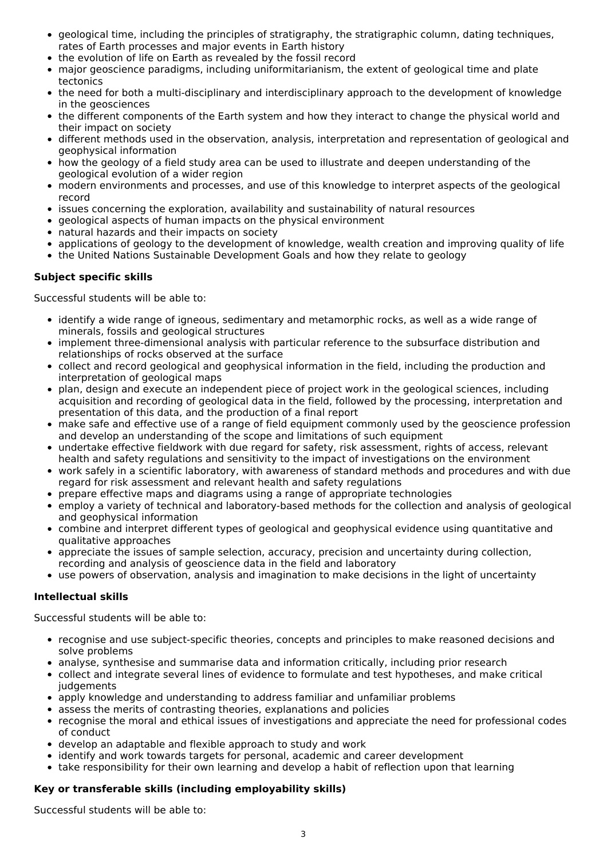- geological time, including the principles of stratigraphy, the stratigraphic column, dating techniques, rates of Earth processes and major events in Earth history
- the evolution of life on Earth as revealed by the fossil record
- major geoscience paradigms, including uniformitarianism, the extent of geological time and plate  $\bullet$ tectonics
- the need for both a multi-disciplinary and interdisciplinary approach to the development of knowledge  $\bullet$ in the geosciences
- the different components of the Earth system and how they interact to change the physical world and their impact on society
- different methods used in the observation, analysis, interpretation and representation of geological and geophysical information
- how the geology of a field study area can be used to illustrate and deepen understanding of the geological evolution of a wider region
- modern environments and processes, and use of this knowledge to interpret aspects of the geological record
- issues concerning the exploration, availability and sustainability of natural resources
- geological aspects of human impacts on the physical environment
- natural hazards and their impacts on society
- applications of geology to the development of knowledge, wealth creation and improving quality of life
- the United Nations Sustainable Development Goals and how they relate to geology

#### **Subject specific skills**

Successful students will be able to:

- identify a wide range of igneous, sedimentary and metamorphic rocks, as well as a wide range of minerals, fossils and geological structures
- implement three-dimensional analysis with particular reference to the subsurface distribution and relationships of rocks observed at the surface
- collect and record geological and geophysical information in the field, including the production and interpretation of geological maps
- plan, design and execute an independent piece of project work in the geological sciences, including acquisition and recording of geological data in the field, followed by the processing, interpretation and presentation of this data, and the production of a final report
- make safe and effective use of a range of field equipment commonly used by the geoscience profession and develop an understanding of the scope and limitations of such equipment
- undertake effective fieldwork with due regard for safety, risk assessment, rights of access, relevant health and safety regulations and sensitivity to the impact of investigations on the environment
- work safely in a scientific laboratory, with awareness of standard methods and procedures and with due regard for risk assessment and relevant health and safety regulations
- prepare effective maps and diagrams using a range of appropriate technologies
- employ a variety of technical and laboratory-based methods for the collection and analysis of geological and geophysical information
- combine and interpret different types of geological and geophysical evidence using quantitative and qualitative approaches
- appreciate the issues of sample selection, accuracy, precision and uncertainty during collection, recording and analysis of geoscience data in the field and laboratory
- use powers of observation, analysis and imagination to make decisions in the light of uncertainty

#### **Intellectual skills**

Successful students will be able to:

- recognise and use subject-specific theories, concepts and principles to make reasoned decisions and solve problems
- analyse, synthesise and summarise data and information critically, including prior research
- collect and integrate several lines of evidence to formulate and test hypotheses, and make critical judgements
- apply knowledge and understanding to address familiar and unfamiliar problems
- assess the merits of contrasting theories, explanations and policies
- recognise the moral and ethical issues of investigations and appreciate the need for professional codes of conduct
- develop an adaptable and flexible approach to study and work
- identify and work towards targets for personal, academic and career development
- take responsibility for their own learning and develop a habit of reflection upon that learning

#### **Key or transferable skills (including employability skills)**

Successful students will be able to: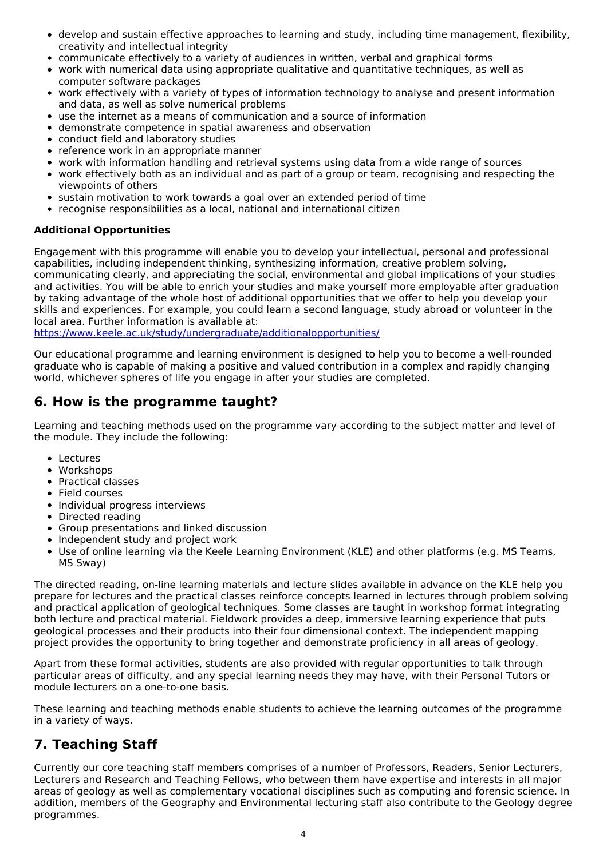- develop and sustain effective approaches to learning and study, including time management, flexibility, creativity and intellectual integrity
- communicate effectively to a variety of audiences in written, verbal and graphical forms
- work with numerical data using appropriate qualitative and quantitative techniques, as well as computer software packages
- work effectively with a variety of types of information technology to analyse and present information and data, as well as solve numerical problems
- use the internet as a means of communication and a source of information
- demonstrate competence in spatial awareness and observation
- conduct field and laboratory studies
- reference work in an appropriate manner
- work with information handling and retrieval systems using data from a wide range of sources
- work effectively both as an individual and as part of a group or team, recognising and respecting the viewpoints of others
- sustain motivation to work towards a goal over an extended period of time
- recognise responsibilities as a local, national and international citizen

### **Additional Opportunities**

Engagement with this programme will enable you to develop your intellectual, personal and professional capabilities, including independent thinking, synthesizing information, creative problem solving, communicating clearly, and appreciating the social, environmental and global implications of your studies and activities. You will be able to enrich your studies and make yourself more employable after graduation by taking advantage of the whole host of additional opportunities that we offer to help you develop your skills and experiences. For example, you could learn a second language, study abroad or volunteer in the local area. Further information is available at:

<https://www.keele.ac.uk/study/undergraduate/additionalopportunities/>

Our educational programme and learning environment is designed to help you to become a well-rounded graduate who is capable of making a positive and valued contribution in a complex and rapidly changing world, whichever spheres of life you engage in after your studies are completed.

## **6. How is the programme taught?**

Learning and teaching methods used on the programme vary according to the subject matter and level of the module. They include the following:

- Lectures
- Workshops
- Practical classes
- Field courses
- Individual progress interviews
- Directed reading
- Group presentations and linked discussion
- Independent study and project work
- Use of online learning via the Keele Learning Environment (KLE) and other platforms (e.g. MS Teams, MS Sway)

The directed reading, on-line learning materials and lecture slides available in advance on the KLE help you prepare for lectures and the practical classes reinforce concepts learned in lectures through problem solving and practical application of geological techniques. Some classes are taught in workshop format integrating both lecture and practical material. Fieldwork provides a deep, immersive learning experience that puts geological processes and their products into their four dimensional context. The independent mapping project provides the opportunity to bring together and demonstrate proficiency in all areas of geology.

Apart from these formal activities, students are also provided with regular opportunities to talk through particular areas of difficulty, and any special learning needs they may have, with their Personal Tutors or module lecturers on a one-to-one basis.

These learning and teaching methods enable students to achieve the learning outcomes of the programme in a variety of ways.

## **7. Teaching Staff**

Currently our core teaching staff members comprises of a number of Professors, Readers, Senior Lecturers, Lecturers and Research and Teaching Fellows, who between them have expertise and interests in all major areas of geology as well as complementary vocational disciplines such as computing and forensic science. In addition, members of the Geography and Environmental lecturing staff also contribute to the Geology degree programmes.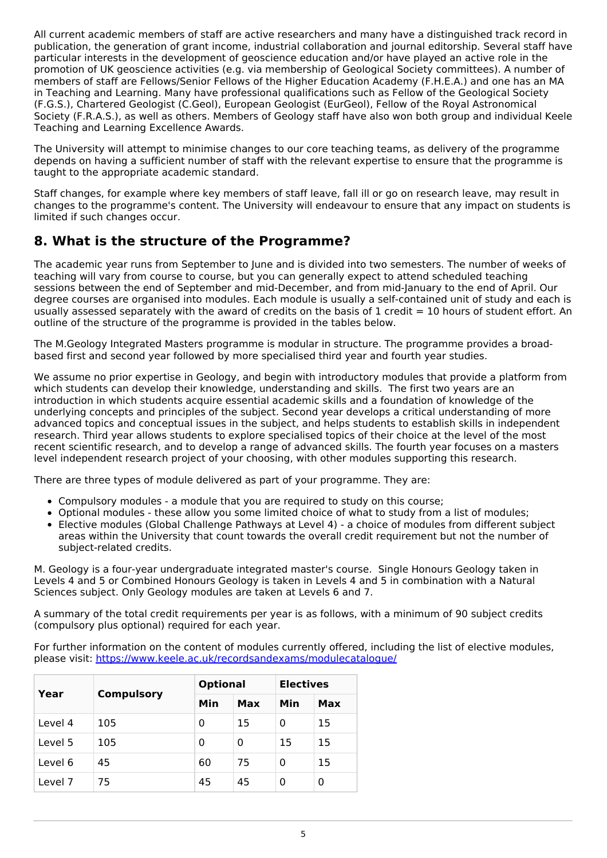All current academic members of staff are active researchers and many have a distinguished track record in publication, the generation of grant income, industrial collaboration and journal editorship. Several staff have particular interests in the development of geoscience education and/or have played an active role in the promotion of UK geoscience activities (e.g. via membership of Geological Society committees). A number of members of staff are Fellows/Senior Fellows of the Higher Education Academy (F.H.E.A.) and one has an MA in Teaching and Learning. Many have professional qualifications such as Fellow of the Geological Society (F.G.S.), Chartered Geologist (C.Geol), European Geologist (EurGeol), Fellow of the Royal Astronomical Society (F.R.A.S.), as well as others. Members of Geology staff have also won both group and individual Keele Teaching and Learning Excellence Awards.

The University will attempt to minimise changes to our core teaching teams, as delivery of the programme depends on having a sufficient number of staff with the relevant expertise to ensure that the programme is taught to the appropriate academic standard.

Staff changes, for example where key members of staff leave, fall ill or go on research leave, may result in changes to the programme's content. The University will endeavour to ensure that any impact on students is limited if such changes occur.

## **8. What is the structure of the Programme?**

The academic year runs from September to June and is divided into two semesters. The number of weeks of teaching will vary from course to course, but you can generally expect to attend scheduled teaching sessions between the end of September and mid-December, and from mid-January to the end of April. Our degree courses are organised into modules. Each module is usually a self-contained unit of study and each is usually assessed separately with the award of credits on the basis of  $1$  credit = 10 hours of student effort. An outline of the structure of the programme is provided in the tables below.

The M.Geology Integrated Masters programme is modular in structure. The programme provides a broadbased first and second year followed by more specialised third year and fourth year studies.

We assume no prior expertise in Geology, and begin with introductory modules that provide a platform from which students can develop their knowledge, understanding and skills. The first two years are an introduction in which students acquire essential academic skills and a foundation of knowledge of the underlying concepts and principles of the subject. Second year develops a critical understanding of more advanced topics and conceptual issues in the subject, and helps students to establish skills in independent research. Third year allows students to explore specialised topics of their choice at the level of the most recent scientific research, and to develop a range of advanced skills. The fourth year focuses on a masters level independent research project of your choosing, with other modules supporting this research.

There are three types of module delivered as part of your programme. They are:

- Compulsory modules a module that you are required to study on this course;
- Optional modules these allow you some limited choice of what to study from a list of modules;
- Elective modules (Global Challenge Pathways at Level 4) a choice of modules from different subject areas within the University that count towards the overall credit requirement but not the number of subject-related credits.

M. Geology is a four-year undergraduate integrated master's course. Single Honours Geology taken in Levels 4 and 5 or Combined Honours Geology is taken in Levels 4 and 5 in combination with a Natural Sciences subject. Only Geology modules are taken at Levels 6 and 7.

A summary of the total credit requirements per year is as follows, with a minimum of 90 subject credits (compulsory plus optional) required for each year.

For further information on the content of modules currently offered, including the list of elective modules, please visit: <https://www.keele.ac.uk/recordsandexams/modulecatalogue/>

| Year    | <b>Compulsory</b> | <b>Optional</b> |     | <b>Electives</b> |     |
|---------|-------------------|-----------------|-----|------------------|-----|
|         |                   | Min             | Max | Min              | Max |
| Level 4 | 105               | 0               | 15  | 0                | 15  |
| Level 5 | 105               | 0               | 0   | 15               | 15  |
| Level 6 | 45                | 60              | 75  | 0                | 15  |
| Level 7 | 75                | 45              | 45  | 0                | 0   |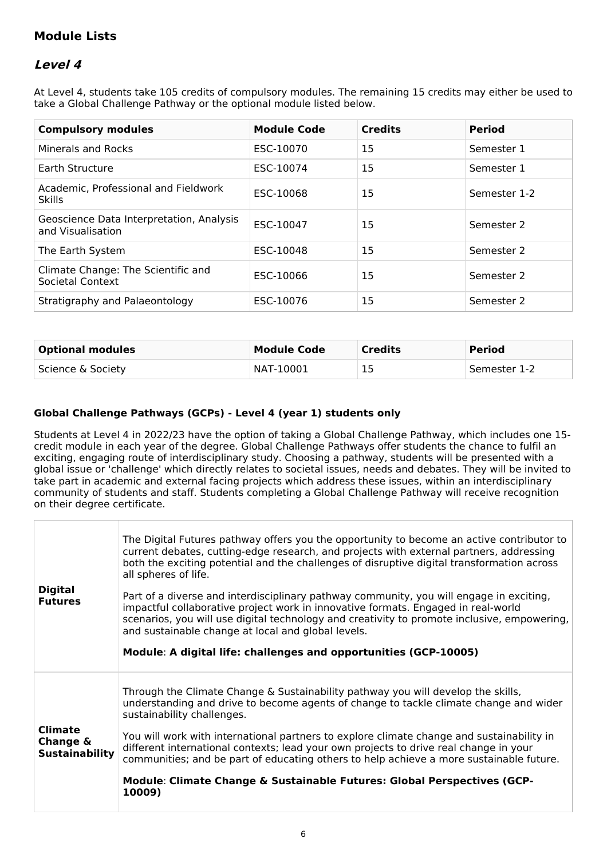## **Module Lists**

## **Level 4**

At Level 4, students take 105 credits of compulsory modules. The remaining 15 credits may either be used to take a Global Challenge Pathway or the optional module listed below.

| <b>Compulsory modules</b>                                     | <b>Module Code</b> | <b>Credits</b> | <b>Period</b> |
|---------------------------------------------------------------|--------------------|----------------|---------------|
| Minerals and Rocks                                            | ESC-10070          | 15             | Semester 1    |
| Earth Structure                                               | ESC-10074          | 15             | Semester 1    |
| Academic, Professional and Fieldwork<br><b>Skills</b>         | ESC-10068          | 15             | Semester 1-2  |
| Geoscience Data Interpretation, Analysis<br>and Visualisation | ESC-10047          | 15             | Semester 2    |
| The Earth System                                              | ESC-10048          | 15             | Semester 2    |
| Climate Change: The Scientific and<br>Societal Context        | ESC-10066          | 15             | Semester 2    |
| Stratigraphy and Palaeontology                                | ESC-10076          | 15             | Semester 2    |

| <b>Optional modules</b> | Module Code | <b>Credits</b> | <b>Period</b> |
|-------------------------|-------------|----------------|---------------|
| Science & Society       | NAT-10001   | 15             | Semester 1-2  |

### **Global Challenge Pathways (GCPs) - Level 4 (year 1) students only**

Students at Level 4 in 2022/23 have the option of taking a Global Challenge Pathway, which includes one 15 credit module in each year of the degree. Global Challenge Pathways offer students the chance to fulfil an exciting, engaging route of interdisciplinary study. Choosing a pathway, students will be presented with a global issue or 'challenge' which directly relates to societal issues, needs and debates. They will be invited to take part in academic and external facing projects which address these issues, within an interdisciplinary community of students and staff. Students completing a Global Challenge Pathway will receive recognition on their degree certificate.

| <b>Digital</b><br><b>Futures</b>                    | The Digital Futures pathway offers you the opportunity to become an active contributor to<br>current debates, cutting-edge research, and projects with external partners, addressing<br>both the exciting potential and the challenges of disruptive digital transformation across<br>all spheres of life.<br>Part of a diverse and interdisciplinary pathway community, you will engage in exciting,<br>impactful collaborative project work in innovative formats. Engaged in real-world<br>scenarios, you will use digital technology and creativity to promote inclusive, empowering,<br>and sustainable change at local and global levels.<br>Module: A digital life: challenges and opportunities (GCP-10005) |
|-----------------------------------------------------|---------------------------------------------------------------------------------------------------------------------------------------------------------------------------------------------------------------------------------------------------------------------------------------------------------------------------------------------------------------------------------------------------------------------------------------------------------------------------------------------------------------------------------------------------------------------------------------------------------------------------------------------------------------------------------------------------------------------|
| <b>Climate</b><br>Change &<br><b>Sustainability</b> | Through the Climate Change & Sustainability pathway you will develop the skills,<br>understanding and drive to become agents of change to tackle climate change and wider<br>sustainability challenges.<br>You will work with international partners to explore climate change and sustainability in<br>different international contexts; lead your own projects to drive real change in your<br>communities; and be part of educating others to help achieve a more sustainable future.<br>Module: Climate Change & Sustainable Futures: Global Perspectives (GCP-<br>10009)                                                                                                                                       |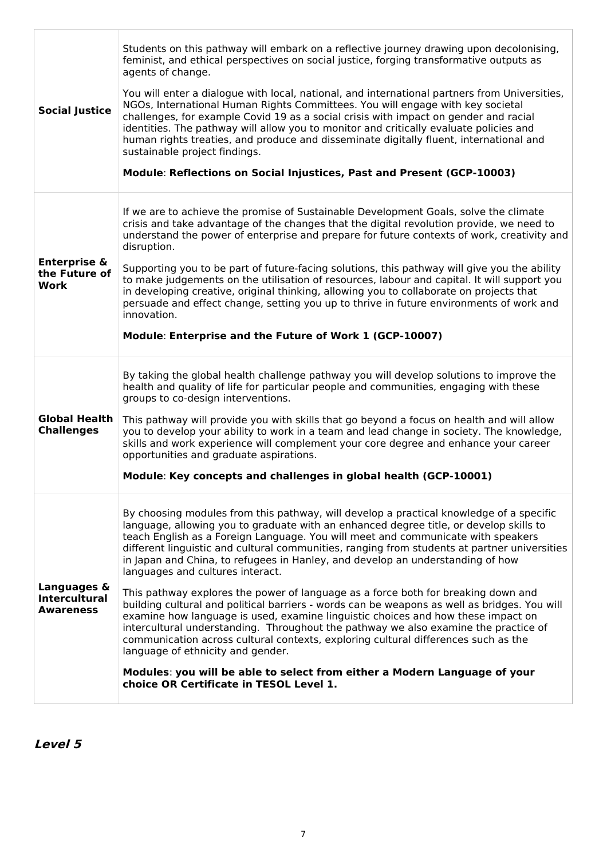| <b>Social Justice</b>                                   | Students on this pathway will embark on a reflective journey drawing upon decolonising,<br>feminist, and ethical perspectives on social justice, forging transformative outputs as<br>agents of change.<br>You will enter a dialogue with local, national, and international partners from Universities,<br>NGOs, International Human Rights Committees. You will engage with key societal<br>challenges, for example Covid 19 as a social crisis with impact on gender and racial<br>identities. The pathway will allow you to monitor and critically evaluate policies and<br>human rights treaties, and produce and disseminate digitally fluent, international and<br>sustainable project findings.<br>Module: Reflections on Social Injustices, Past and Present (GCP-10003)                                                                                                                                                                                                                                                                                                                              |
|---------------------------------------------------------|----------------------------------------------------------------------------------------------------------------------------------------------------------------------------------------------------------------------------------------------------------------------------------------------------------------------------------------------------------------------------------------------------------------------------------------------------------------------------------------------------------------------------------------------------------------------------------------------------------------------------------------------------------------------------------------------------------------------------------------------------------------------------------------------------------------------------------------------------------------------------------------------------------------------------------------------------------------------------------------------------------------------------------------------------------------------------------------------------------------|
| <b>Enterprise &amp;</b><br>the Future of<br>Work        | If we are to achieve the promise of Sustainable Development Goals, solve the climate<br>crisis and take advantage of the changes that the digital revolution provide, we need to<br>understand the power of enterprise and prepare for future contexts of work, creativity and<br>disruption.<br>Supporting you to be part of future-facing solutions, this pathway will give you the ability<br>to make judgements on the utilisation of resources, labour and capital. It will support you<br>in developing creative, original thinking, allowing you to collaborate on projects that<br>persuade and effect change, setting you up to thrive in future environments of work and<br>innovation.<br>Module: Enterprise and the Future of Work 1 (GCP-10007)                                                                                                                                                                                                                                                                                                                                                   |
| <b>Global Health</b><br><b>Challenges</b>               | By taking the global health challenge pathway you will develop solutions to improve the<br>health and quality of life for particular people and communities, engaging with these<br>groups to co-design interventions.<br>This pathway will provide you with skills that go beyond a focus on health and will allow<br>you to develop your ability to work in a team and lead change in society. The knowledge,<br>skills and work experience will complement your core degree and enhance your career<br>opportunities and graduate aspirations.<br>Module: Key concepts and challenges in global health (GCP-10001)                                                                                                                                                                                                                                                                                                                                                                                                                                                                                          |
| Languages &<br><b>Intercultural</b><br><b>Awareness</b> | By choosing modules from this pathway, will develop a practical knowledge of a specific<br>language, allowing you to graduate with an enhanced degree title, or develop skills to<br>teach English as a Foreign Language. You will meet and communicate with speakers<br>different linguistic and cultural communities, ranging from students at partner universities<br>in Japan and China, to refugees in Hanley, and develop an understanding of how<br>languages and cultures interact.<br>This pathway explores the power of language as a force both for breaking down and<br>building cultural and political barriers - words can be weapons as well as bridges. You will<br>examine how language is used, examine linguistic choices and how these impact on<br>intercultural understanding. Throughout the pathway we also examine the practice of<br>communication across cultural contexts, exploring cultural differences such as the<br>language of ethnicity and gender.<br>Modules: you will be able to select from either a Modern Language of your<br>choice OR Certificate in TESOL Level 1. |

**Level 5**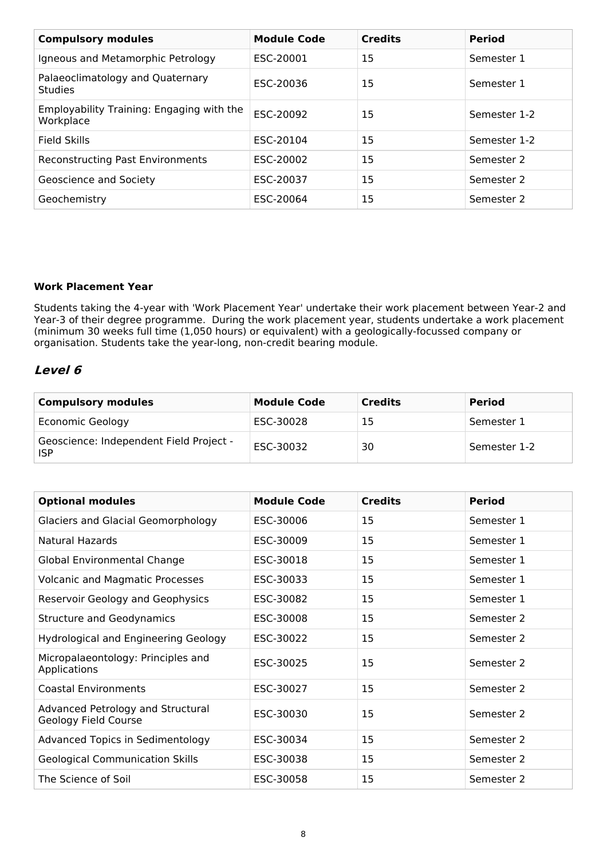| <b>Compulsory modules</b>                              | <b>Module Code</b> | <b>Credits</b> | <b>Period</b> |
|--------------------------------------------------------|--------------------|----------------|---------------|
| Igneous and Metamorphic Petrology                      | ESC-20001          | 15             | Semester 1    |
| Palaeoclimatology and Quaternary<br><b>Studies</b>     | ESC-20036          | 15             | Semester 1    |
| Employability Training: Engaging with the<br>Workplace | ESC-20092          | 15             | Semester 1-2  |
| <b>Field Skills</b>                                    | ESC-20104          | 15             | Semester 1-2  |
| <b>Reconstructing Past Environments</b>                | ESC-20002          | 15             | Semester 2    |
| Geoscience and Society                                 | ESC-20037          | 15             | Semester 2    |
| Geochemistry                                           | ESC-20064          | 15             | Semester 2    |

### **Work Placement Year**

Students taking the 4-year with 'Work Placement Year' undertake their work placement between Year-2 and Year-3 of their degree programme. During the work placement year, students undertake a work placement (minimum 30 weeks full time (1,050 hours) or equivalent) with a geologically-focussed company or organisation. Students take the year-long, non-credit bearing module.

### **Level 6**

| <b>Compulsory modules</b>                             | <b>Module Code</b> | <b>Credits</b> | <b>Period</b> |
|-------------------------------------------------------|--------------------|----------------|---------------|
| <b>Economic Geology</b>                               | ESC-30028          | 15             | Semester 1    |
| Geoscience: Independent Field Project -<br><b>ISP</b> | ESC-30032          | 30             | Semester 1-2  |

| <b>Optional modules</b>                                   | <b>Module Code</b> | <b>Credits</b> | <b>Period</b> |
|-----------------------------------------------------------|--------------------|----------------|---------------|
| <b>Glaciers and Glacial Geomorphology</b>                 | ESC-30006          | 15             | Semester 1    |
| Natural Hazards                                           | ESC-30009          | 15             | Semester 1    |
| Global Environmental Change                               | ESC-30018          | 15             | Semester 1    |
| <b>Volcanic and Magmatic Processes</b>                    | ESC-30033          | 15             | Semester 1    |
| Reservoir Geology and Geophysics                          | ESC-30082          | 15             | Semester 1    |
| <b>Structure and Geodynamics</b>                          | ESC-30008          | 15             | Semester 2    |
| <b>Hydrological and Engineering Geology</b>               | ESC-30022          | 15             | Semester 2    |
| Micropalaeontology: Principles and<br><b>Applications</b> | ESC-30025          | 15             | Semester 2    |
| <b>Coastal Environments</b>                               | ESC-30027          | 15             | Semester 2    |
| Advanced Petrology and Structural<br>Geology Field Course | ESC-30030          | 15             | Semester 2    |
| Advanced Topics in Sedimentology                          | ESC-30034          | 15             | Semester 2    |
| <b>Geological Communication Skills</b>                    | ESC-30038          | 15             | Semester 2    |
| The Science of Soil                                       | ESC-30058          | 15             | Semester 2    |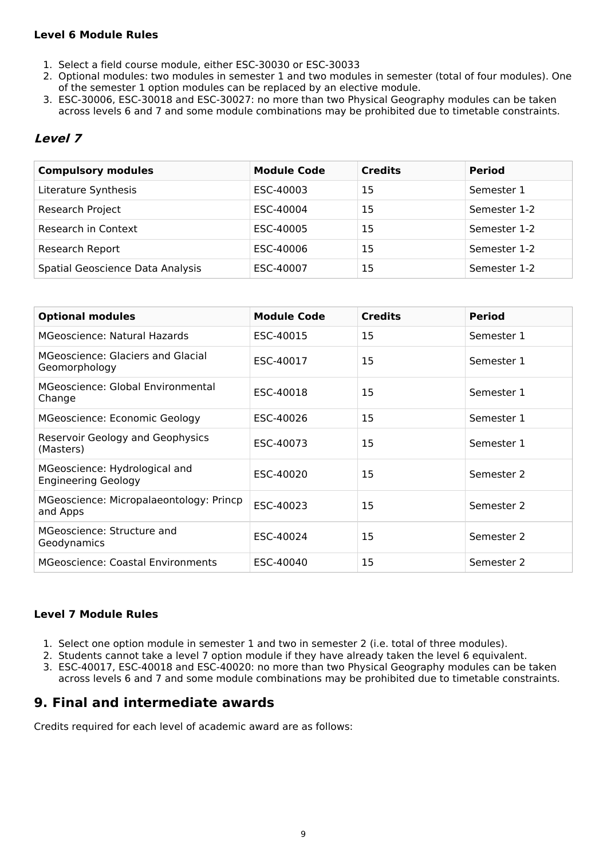### **Level 6 Module Rules**

- 1. Select a field course module, either ESC-30030 or ESC-30033
- 2. Optional modules: two modules in semester 1 and two modules in semester (total of four modules). One of the semester 1 option modules can be replaced by an elective module.
- 3. ESC-30006, ESC-30018 and ESC-30027: no more than two Physical Geography modules can be taken across levels 6 and 7 and some module combinations may be prohibited due to timetable constraints.

## **Level 7**

| <b>Compulsory modules</b>        | <b>Module Code</b> | <b>Credits</b> | <b>Period</b> |
|----------------------------------|--------------------|----------------|---------------|
| Literature Synthesis             | ESC-40003          | 15             | Semester 1    |
| Research Project                 | ESC-40004          | 15             | Semester 1-2  |
| Research in Context              | ESC-40005          | 15             | Semester 1-2  |
| Research Report                  | ESC-40006          | 15             | Semester 1-2  |
| Spatial Geoscience Data Analysis | ESC-40007          | 15             | Semester 1-2  |

| <b>Optional modules</b>                                     | <b>Module Code</b> | <b>Credits</b> | <b>Period</b> |
|-------------------------------------------------------------|--------------------|----------------|---------------|
| MGeoscience: Natural Hazards                                | ESC-40015          | 15             | Semester 1    |
| MGeoscience: Glaciers and Glacial<br>Geomorphology          | ESC-40017          | 15             | Semester 1    |
| MGeoscience: Global Environmental<br>Change                 | ESC-40018          | 15             | Semester 1    |
| MGeoscience: Economic Geology                               | ESC-40026          | 15             | Semester 1    |
| Reservoir Geology and Geophysics<br>(Masters)               | ESC-40073          | 15             | Semester 1    |
| MGeoscience: Hydrological and<br><b>Engineering Geology</b> | ESC-40020          | 15             | Semester 2    |
| MGeoscience: Micropalaeontology: Princp<br>and Apps         | ESC-40023          | 15             | Semester 2    |
| MGeoscience: Structure and<br>Geodynamics                   | ESC-40024          | 15             | Semester 2    |
| <b>MGeoscience: Coastal Environments</b>                    | ESC-40040          | 15             | Semester 2    |

#### **Level 7 Module Rules**

- 1. Select one option module in semester 1 and two in semester 2 (i.e. total of three modules).
- 2. Students cannot take a level 7 option module if they have already taken the level 6 equivalent.
- 3. ESC-40017, ESC-40018 and ESC-40020: no more than two Physical Geography modules can be taken across levels 6 and 7 and some module combinations may be prohibited due to timetable constraints.

## **9. Final and intermediate awards**

Credits required for each level of academic award are as follows: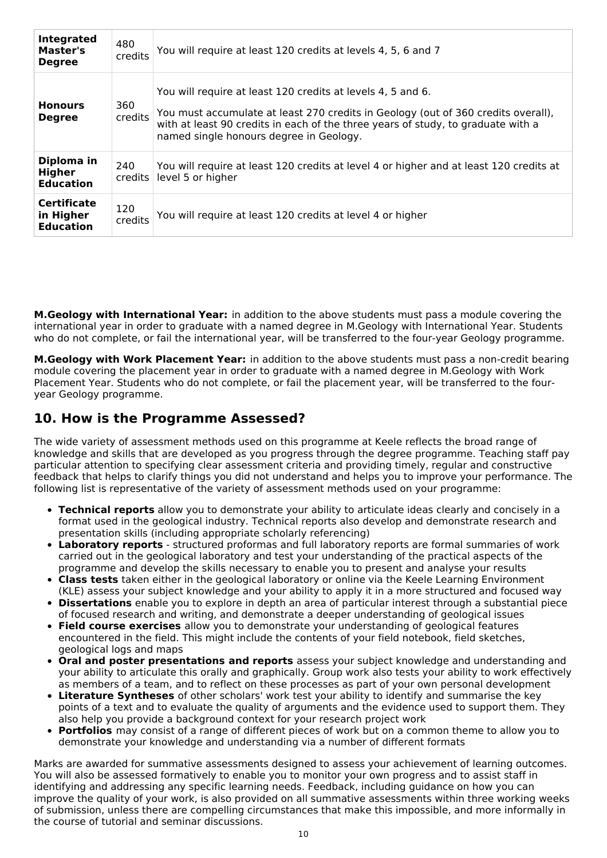| <b>Integrated</b><br>Master's<br><b>Degree</b>      | 480<br>credits | You will require at least 120 credits at levels 4, 5, 6 and 7                                                                                                                                                                                                                   |
|-----------------------------------------------------|----------------|---------------------------------------------------------------------------------------------------------------------------------------------------------------------------------------------------------------------------------------------------------------------------------|
| <b>Honours</b><br><b>Degree</b>                     | 360<br>credits | You will require at least 120 credits at levels 4, 5 and 6.<br>You must accumulate at least 270 credits in Geology (out of 360 credits overall),<br>with at least 90 credits in each of the three years of study, to graduate with a<br>named single honours degree in Geology. |
| Diploma in<br><b>Higher</b><br><b>Education</b>     | 240<br>credits | You will require at least 120 credits at level 4 or higher and at least 120 credits at<br>level 5 or higher                                                                                                                                                                     |
| <b>Certificate</b><br>in Higher<br><b>Education</b> | 120<br>credits | You will require at least 120 credits at level 4 or higher                                                                                                                                                                                                                      |

**M.Geology with International Year:** in addition to the above students must pass a module covering the international year in order to graduate with a named degree in M.Geology with International Year. Students who do not complete, or fail the international year, will be transferred to the four-year Geology programme.

**M.Geology with Work Placement Year:** in addition to the above students must pass a non-credit bearing module covering the placement year in order to graduate with a named degree in M.Geology with Work Placement Year. Students who do not complete, or fail the placement year, will be transferred to the fouryear Geology programme.

## **10. How is the Programme Assessed?**

The wide variety of assessment methods used on this programme at Keele reflects the broad range of knowledge and skills that are developed as you progress through the degree programme. Teaching staff pay particular attention to specifying clear assessment criteria and providing timely, regular and constructive feedback that helps to clarify things you did not understand and helps you to improve your performance. The following list is representative of the variety of assessment methods used on your programme:

- **Technical reports** allow you to demonstrate your ability to articulate ideas clearly and concisely in a format used in the geological industry. Technical reports also develop and demonstrate research and presentation skills (including appropriate scholarly referencing)
- **Laboratory reports** structured proformas and full laboratory reports are formal summaries of work carried out in the geological laboratory and test your understanding of the practical aspects of the programme and develop the skills necessary to enable you to present and analyse your results
- **Class tests** taken either in the geological laboratory or online via the Keele Learning Environment (KLE) assess your subject knowledge and your ability to apply it in a more structured and focused way
- **Dissertations** enable you to explore in depth an area of particular interest through a substantial piece of focused research and writing, and demonstrate a deeper understanding of geological issues
- **Field course exercises** allow you to demonstrate your understanding of geological features encountered in the field. This might include the contents of your field notebook, field sketches, geological logs and maps
- **Oral and poster presentations and reports** assess your subject knowledge and understanding and your ability to articulate this orally and graphically. Group work also tests your ability to work effectively as members of a team, and to reflect on these processes as part of your own personal development
- **Literature Syntheses** of other scholars' work test your ability to identify and summarise the key points of a text and to evaluate the quality of arguments and the evidence used to support them. They also help you provide a background context for your research project work
- **Portfolios** may consist of a range of different pieces of work but on a common theme to allow you to demonstrate your knowledge and understanding via a number of different formats

Marks are awarded for summative assessments designed to assess your achievement of learning outcomes. You will also be assessed formatively to enable you to monitor your own progress and to assist staff in identifying and addressing any specific learning needs. Feedback, including guidance on how you can improve the quality of your work, is also provided on all summative assessments within three working weeks of submission, unless there are compelling circumstances that make this impossible, and more informally in the course of tutorial and seminar discussions.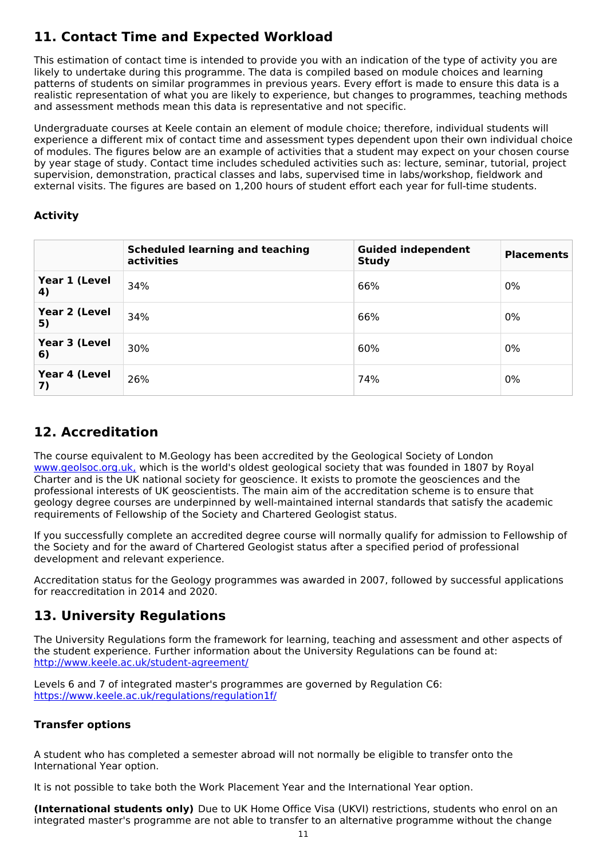## **11. Contact Time and Expected Workload**

This estimation of contact time is intended to provide you with an indication of the type of activity you are likely to undertake during this programme. The data is compiled based on module choices and learning patterns of students on similar programmes in previous years. Every effort is made to ensure this data is a realistic representation of what you are likely to experience, but changes to programmes, teaching methods and assessment methods mean this data is representative and not specific.

Undergraduate courses at Keele contain an element of module choice; therefore, individual students will experience a different mix of contact time and assessment types dependent upon their own individual choice of modules. The figures below are an example of activities that a student may expect on your chosen course by year stage of study. Contact time includes scheduled activities such as: lecture, seminar, tutorial, project supervision, demonstration, practical classes and labs, supervised time in labs/workshop, fieldwork and external visits. The figures are based on 1,200 hours of student effort each year for full-time students.

### **Activity**

|                     | <b>Scheduled learning and teaching</b><br>activities | <b>Guided independent</b><br><b>Study</b> | <b>Placements</b> |
|---------------------|------------------------------------------------------|-------------------------------------------|-------------------|
| Year 1 (Level<br>4) | 34%                                                  | 66%                                       | 0%                |
| Year 2 (Level<br>5) | 34%                                                  | 66%                                       | 0%                |
| Year 3 (Level<br>6) | 30%                                                  | 60%                                       | 0%                |
| Year 4 (Level<br>7) | 26%                                                  | 74%                                       | 0%                |

## **12. Accreditation**

The course equivalent to M.Geology has been accredited by the Geological Society of London [www.geolsoc.org.uk,](http://www.geolsoc.org.uk/) which is the world's oldest geological society that was founded in 1807 by Royal Charter and is the UK national society for geoscience. It exists to promote the geosciences and the professional interests of UK geoscientists. The main aim of the accreditation scheme is to ensure that geology degree courses are underpinned by well-maintained internal standards that satisfy the academic requirements of Fellowship of the Society and Chartered Geologist status.

If you successfully complete an accredited degree course will normally qualify for admission to Fellowship of the Society and for the award of Chartered Geologist status after a specified period of professional development and relevant experience.

Accreditation status for the Geology programmes was awarded in 2007, followed by successful applications for reaccreditation in 2014 and 2020.

## **13. University Regulations**

The University Regulations form the framework for learning, teaching and assessment and other aspects of the student experience. Further information about the University Regulations can be found at: <http://www.keele.ac.uk/student-agreement/>

Levels 6 and 7 of integrated master's programmes are governed by Regulation C6: [https://www.keele.ac.uk/regulations/regulation1f/](https://www.keele.ac.uk/regulations/regulationc6/)

### **Transfer options**

A student who has completed a semester abroad will not normally be eligible to transfer onto the International Year option.

It is not possible to take both the Work Placement Year and the International Year option.

**(International students only)** Due to UK Home Office Visa (UKVI) restrictions, students who enrol on an integrated master's programme are not able to transfer to an alternative programme without the change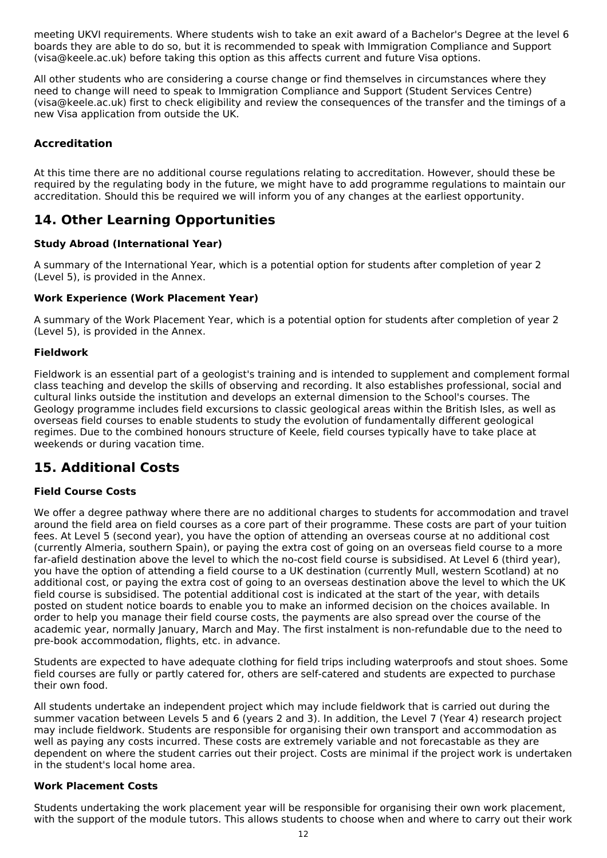meeting UKVI requirements. Where students wish to take an exit award of a Bachelor's Degree at the level 6 boards they are able to do so, but it is recommended to speak with Immigration Compliance and Support (visa@keele.ac.uk) before taking this option as this affects current and future Visa options.

All other students who are considering a course change or find themselves in circumstances where they need to change will need to speak to Immigration Compliance and Support (Student Services Centre) (visa@keele.ac.uk) first to check eligibility and review the consequences of the transfer and the timings of a new Visa application from outside the UK.

### **Accreditation**

At this time there are no additional course regulations relating to accreditation. However, should these be required by the regulating body in the future, we might have to add programme regulations to maintain our accreditation. Should this be required we will inform you of any changes at the earliest opportunity.

## **14. Other Learning Opportunities**

### **Study Abroad (International Year)**

A summary of the International Year, which is a potential option for students after completion of year 2 (Level 5), is provided in the Annex.

### **Work Experience (Work Placement Year)**

A summary of the Work Placement Year, which is a potential option for students after completion of year 2 (Level 5), is provided in the Annex.

### **Fieldwork**

Fieldwork is an essential part of a geologist's training and is intended to supplement and complement formal class teaching and develop the skills of observing and recording. It also establishes professional, social and cultural links outside the institution and develops an external dimension to the School's courses. The Geology programme includes field excursions to classic geological areas within the British Isles, as well as overseas field courses to enable students to study the evolution of fundamentally different geological regimes. Due to the combined honours structure of Keele, field courses typically have to take place at weekends or during vacation time.

## **15. Additional Costs**

### **Field Course Costs**

We offer a degree pathway where there are no additional charges to students for accommodation and travel around the field area on field courses as a core part of their programme. These costs are part of your tuition fees. At Level 5 (second year), you have the option of attending an overseas course at no additional cost (currently Almeria, southern Spain), or paying the extra cost of going on an overseas field course to a more far-afield destination above the level to which the no-cost field course is subsidised. At Level 6 (third year), you have the option of attending a field course to a UK destination (currently Mull, western Scotland) at no additional cost, or paying the extra cost of going to an overseas destination above the level to which the UK field course is subsidised. The potential additional cost is indicated at the start of the year, with details posted on student notice boards to enable you to make an informed decision on the choices available. In order to help you manage their field course costs, the payments are also spread over the course of the academic year, normally January, March and May. The first instalment is non-refundable due to the need to pre-book accommodation, flights, etc. in advance.

Students are expected to have adequate clothing for field trips including waterproofs and stout shoes. Some field courses are fully or partly catered for, others are self-catered and students are expected to purchase their own food.

All students undertake an independent project which may include fieldwork that is carried out during the summer vacation between Levels 5 and 6 (years 2 and 3). In addition, the Level 7 (Year 4) research project may include fieldwork. Students are responsible for organising their own transport and accommodation as well as paying any costs incurred. These costs are extremely variable and not forecastable as they are dependent on where the student carries out their project. Costs are minimal if the project work is undertaken in the student's local home area.

#### **Work Placement Costs**

Students undertaking the work placement year will be responsible for organising their own work placement, with the support of the module tutors. This allows students to choose when and where to carry out their work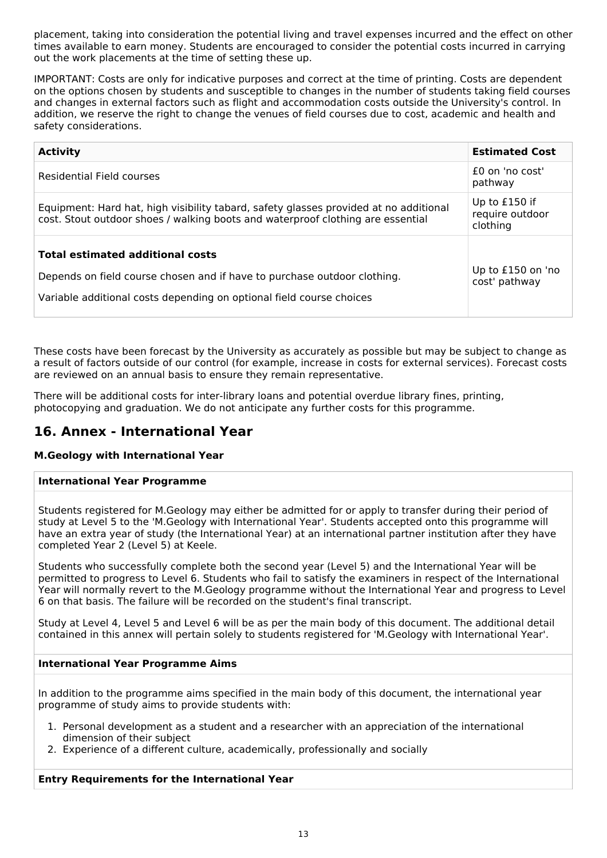placement, taking into consideration the potential living and travel expenses incurred and the effect on other times available to earn money. Students are encouraged to consider the potential costs incurred in carrying out the work placements at the time of setting these up.

IMPORTANT: Costs are only for indicative purposes and correct at the time of printing. Costs are dependent on the options chosen by students and susceptible to changes in the number of students taking field courses and changes in external factors such as flight and accommodation costs outside the University's control. In addition, we reserve the right to change the venues of field courses due to cost, academic and health and safety considerations.

| <b>Activity</b>                                                                                                                                                                             | <b>Estimated Cost</b>                        |
|---------------------------------------------------------------------------------------------------------------------------------------------------------------------------------------------|----------------------------------------------|
| Residential Field courses                                                                                                                                                                   | $f0$ on 'no cost'<br>pathway                 |
| Equipment: Hard hat, high visibility tabard, safety glasses provided at no additional<br>cost. Stout outdoor shoes / walking boots and waterproof clothing are essential                    | Up to £150 if<br>require outdoor<br>clothing |
| <b>Total estimated additional costs</b><br>Depends on field course chosen and if have to purchase outdoor clothing.<br>Variable additional costs depending on optional field course choices | Up to £150 on 'no<br>cost' pathway           |

These costs have been forecast by the University as accurately as possible but may be subject to change as a result of factors outside of our control (for example, increase in costs for external services). Forecast costs are reviewed on an annual basis to ensure they remain representative.

There will be additional costs for inter-library loans and potential overdue library fines, printing, photocopying and graduation. We do not anticipate any further costs for this programme.

## **16. Annex - International Year**

### **M.Geology with International Year**

### **International Year Programme**

Students registered for M.Geology may either be admitted for or apply to transfer during their period of study at Level 5 to the 'M.Geology with International Year'. Students accepted onto this programme will have an extra year of study (the International Year) at an international partner institution after they have completed Year 2 (Level 5) at Keele.

Students who successfully complete both the second year (Level 5) and the International Year will be permitted to progress to Level 6. Students who fail to satisfy the examiners in respect of the International Year will normally revert to the M.Geology programme without the International Year and progress to Level 6 on that basis. The failure will be recorded on the student's final transcript.

Study at Level 4, Level 5 and Level 6 will be as per the main body of this document. The additional detail contained in this annex will pertain solely to students registered for 'M.Geology with International Year'.

### **International Year Programme Aims**

In addition to the programme aims specified in the main body of this document, the international year programme of study aims to provide students with:

- 1. Personal development as a student and a researcher with an appreciation of the international dimension of their subject
- 2. Experience of a different culture, academically, professionally and socially

#### **Entry Requirements for the International Year**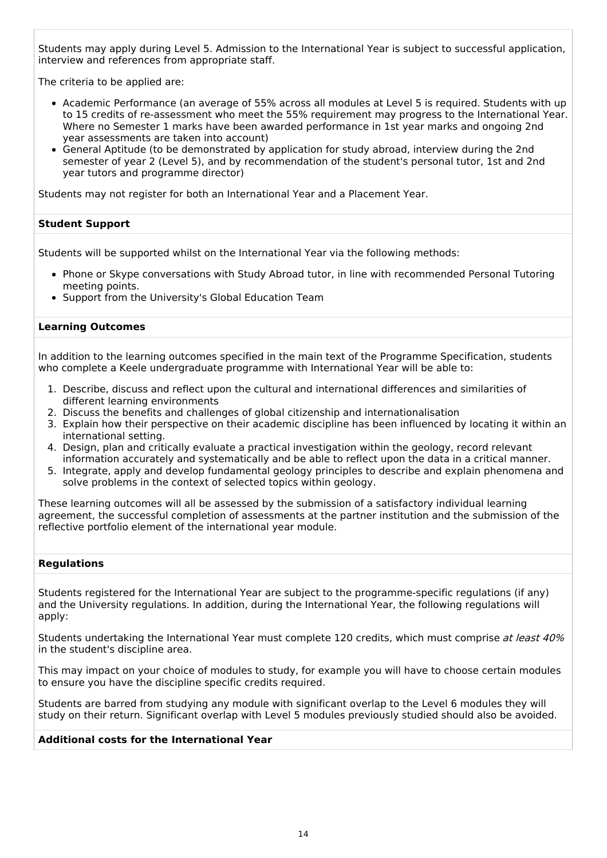Students may apply during Level 5. Admission to the International Year is subject to successful application, interview and references from appropriate staff.

The criteria to be applied are:

- Academic Performance (an average of 55% across all modules at Level 5 is required. Students with up to 15 credits of re-assessment who meet the 55% requirement may progress to the International Year. Where no Semester 1 marks have been awarded performance in 1st year marks and ongoing 2nd year assessments are taken into account)
- General Aptitude (to be demonstrated by application for study abroad, interview during the 2nd semester of year 2 (Level 5), and by recommendation of the student's personal tutor, 1st and 2nd year tutors and programme director)

Students may not register for both an International Year and a Placement Year.

#### **Student Support**

Students will be supported whilst on the International Year via the following methods:

- Phone or Skype conversations with Study Abroad tutor, in line with recommended Personal Tutoring meeting points.
- Support from the University's Global Education Team

#### **Learning Outcomes**

In addition to the learning outcomes specified in the main text of the Programme Specification, students who complete a Keele undergraduate programme with International Year will be able to:

- 1. Describe, discuss and reflect upon the cultural and international differences and similarities of different learning environments
- 2. Discuss the benefits and challenges of global citizenship and internationalisation
- 3. Explain how their perspective on their academic discipline has been influenced by locating it within an international setting.
- 4. Design, plan and critically evaluate a practical investigation within the geology, record relevant information accurately and systematically and be able to reflect upon the data in a critical manner.
- 5. Integrate, apply and develop fundamental geology principles to describe and explain phenomena and solve problems in the context of selected topics within geology.

These learning outcomes will all be assessed by the submission of a satisfactory individual learning agreement, the successful completion of assessments at the partner institution and the submission of the reflective portfolio element of the international year module.

#### **Regulations**

Students registered for the International Year are subject to the programme-specific regulations (if any) and the University regulations. In addition, during the International Year, the following regulations will apply:

Students undertaking the International Year must complete 120 credits, which must comprise at least 40% in the student's discipline area.

This may impact on your choice of modules to study, for example you will have to choose certain modules to ensure you have the discipline specific credits required.

Students are barred from studying any module with significant overlap to the Level 6 modules they will study on their return. Significant overlap with Level 5 modules previously studied should also be avoided.

#### **Additional costs for the International Year**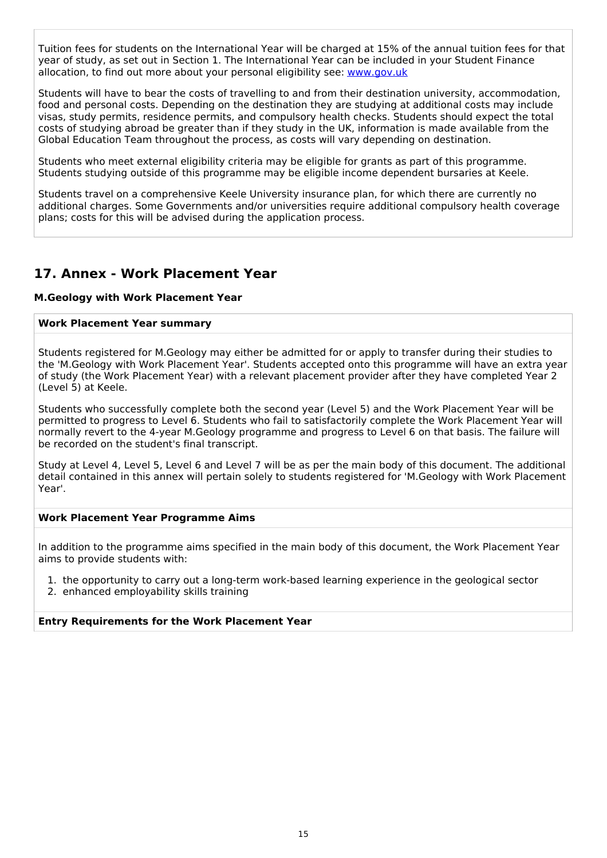Tuition fees for students on the International Year will be charged at 15% of the annual tuition fees for that year of study, as set out in Section 1. The International Year can be included in your Student Finance allocation, to find out more about your personal eligibility see: [www.gov.uk](http://www.gov.uk/)

Students will have to bear the costs of travelling to and from their destination university, accommodation, food and personal costs. Depending on the destination they are studying at additional costs may include visas, study permits, residence permits, and compulsory health checks. Students should expect the total costs of studying abroad be greater than if they study in the UK, information is made available from the Global Education Team throughout the process, as costs will vary depending on destination.

Students who meet external eligibility criteria may be eligible for grants as part of this programme. Students studying outside of this programme may be eligible income dependent bursaries at Keele.

Students travel on a comprehensive Keele University insurance plan, for which there are currently no additional charges. Some Governments and/or universities require additional compulsory health coverage plans; costs for this will be advised during the application process.

## **17. Annex - Work Placement Year**

#### **M.Geology with Work Placement Year**

#### **Work Placement Year summary**

Students registered for M.Geology may either be admitted for or apply to transfer during their studies to the 'M.Geology with Work Placement Year'. Students accepted onto this programme will have an extra year of study (the Work Placement Year) with a relevant placement provider after they have completed Year 2 (Level 5) at Keele.

Students who successfully complete both the second year (Level 5) and the Work Placement Year will be permitted to progress to Level 6. Students who fail to satisfactorily complete the Work Placement Year will normally revert to the 4-year M.Geology programme and progress to Level 6 on that basis. The failure will be recorded on the student's final transcript.

Study at Level 4, Level 5, Level 6 and Level 7 will be as per the main body of this document. The additional detail contained in this annex will pertain solely to students registered for 'M.Geology with Work Placement Year'.

#### **Work Placement Year Programme Aims**

In addition to the programme aims specified in the main body of this document, the Work Placement Year aims to provide students with:

1. the opportunity to carry out a long-term work-based learning experience in the geological sector

2. enhanced employability skills training

#### **Entry Requirements for the Work Placement Year**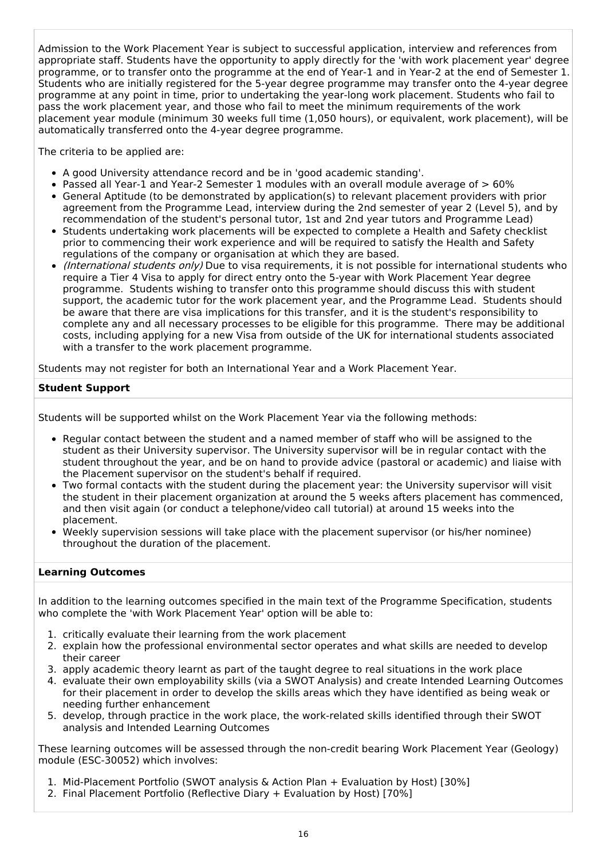Admission to the Work Placement Year is subject to successful application, interview and references from appropriate staff. Students have the opportunity to apply directly for the 'with work placement year' degree programme, or to transfer onto the programme at the end of Year-1 and in Year-2 at the end of Semester 1. Students who are initially registered for the 5-year degree programme may transfer onto the 4-year degree programme at any point in time, prior to undertaking the year-long work placement. Students who fail to pass the work placement year, and those who fail to meet the minimum requirements of the work placement year module (minimum 30 weeks full time (1,050 hours), or equivalent, work placement), will be automatically transferred onto the 4-year degree programme.

The criteria to be applied are:

- A good University attendance record and be in 'good academic standing'.
- Passed all Year-1 and Year-2 Semester 1 modules with an overall module average of  $> 60\%$
- General Aptitude (to be demonstrated by application(s) to relevant placement providers with prior agreement from the Programme Lead, interview during the 2nd semester of year 2 (Level 5), and by recommendation of the student's personal tutor, 1st and 2nd year tutors and Programme Lead)
- Students undertaking work placements will be expected to complete a Health and Safety checklist prior to commencing their work experience and will be required to satisfy the Health and Safety regulations of the company or organisation at which they are based.
- (International students only) Due to visa requirements, it is not possible for international students who require a Tier 4 Visa to apply for direct entry onto the 5-year with Work Placement Year degree programme. Students wishing to transfer onto this programme should discuss this with student support, the academic tutor for the work placement year, and the Programme Lead. Students should be aware that there are visa implications for this transfer, and it is the student's responsibility to complete any and all necessary processes to be eligible for this programme. There may be additional costs, including applying for a new Visa from outside of the UK for international students associated with a transfer to the work placement programme.

Students may not register for both an International Year and a Work Placement Year.

### **Student Support**

Students will be supported whilst on the Work Placement Year via the following methods:

- Regular contact between the student and a named member of staff who will be assigned to the student as their University supervisor. The University supervisor will be in regular contact with the student throughout the year, and be on hand to provide advice (pastoral or academic) and liaise with the Placement supervisor on the student's behalf if required.
- Two formal contacts with the student during the placement year: the University supervisor will visit the student in their placement organization at around the 5 weeks afters placement has commenced, and then visit again (or conduct a telephone/video call tutorial) at around 15 weeks into the placement.
- Weekly supervision sessions will take place with the placement supervisor (or his/her nominee) throughout the duration of the placement.

### **Learning Outcomes**

In addition to the learning outcomes specified in the main text of the Programme Specification, students who complete the 'with Work Placement Year' option will be able to:

- 1. critically evaluate their learning from the work placement
- 2. explain how the professional environmental sector operates and what skills are needed to develop their career
- 3. apply academic theory learnt as part of the taught degree to real situations in the work place
- 4. evaluate their own employability skills (via a SWOT Analysis) and create Intended Learning Outcomes for their placement in order to develop the skills areas which they have identified as being weak or needing further enhancement
- 5. develop, through practice in the work place, the work-related skills identified through their SWOT analysis and Intended Learning Outcomes

These learning outcomes will be assessed through the non-credit bearing Work Placement Year (Geology) module (ESC-30052) which involves:

- 1. Mid-Placement Portfolio (SWOT analysis & Action Plan + Evaluation by Host) [30%]
- 2. Final Placement Portfolio (Reflective Diary + Evaluation by Host) [70%]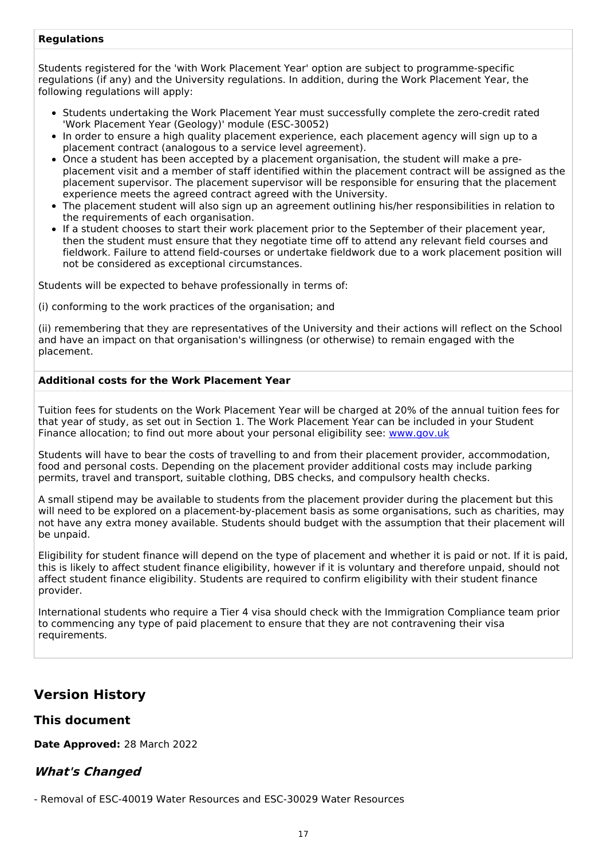### **Regulations**

Students registered for the 'with Work Placement Year' option are subject to programme-specific regulations (if any) and the University regulations. In addition, during the Work Placement Year, the following regulations will apply:

- Students undertaking the Work Placement Year must successfully complete the zero-credit rated 'Work Placement Year (Geology)' module (ESC-30052)
- In order to ensure a high quality placement experience, each placement agency will sign up to a placement contract (analogous to a service level agreement).
- Once a student has been accepted by a placement organisation, the student will make a preplacement visit and a member of staff identified within the placement contract will be assigned as the placement supervisor. The placement supervisor will be responsible for ensuring that the placement experience meets the agreed contract agreed with the University.
- The placement student will also sign up an agreement outlining his/her responsibilities in relation to the requirements of each organisation.
- If a student chooses to start their work placement prior to the September of their placement year, then the student must ensure that they negotiate time off to attend any relevant field courses and fieldwork. Failure to attend field-courses or undertake fieldwork due to a work placement position will not be considered as exceptional circumstances.

Students will be expected to behave professionally in terms of:

(i) conforming to the work practices of the organisation; and

(ii) remembering that they are representatives of the University and their actions will reflect on the School and have an impact on that organisation's willingness (or otherwise) to remain engaged with the placement.

#### **Additional costs for the Work Placement Year**

Tuition fees for students on the Work Placement Year will be charged at 20% of the annual tuition fees for that year of study, as set out in Section 1. The Work Placement Year can be included in your Student Finance allocation; to find out more about your personal eligibility see: [www.gov.uk](http://www.gov.uk/)

Students will have to bear the costs of travelling to and from their placement provider, accommodation, food and personal costs. Depending on the placement provider additional costs may include parking permits, travel and transport, suitable clothing, DBS checks, and compulsory health checks.

A small stipend may be available to students from the placement provider during the placement but this will need to be explored on a placement-by-placement basis as some organisations, such as charities, may not have any extra money available. Students should budget with the assumption that their placement will be unpaid.

Eligibility for student finance will depend on the type of placement and whether it is paid or not. If it is paid, this is likely to affect student finance eligibility, however if it is voluntary and therefore unpaid, should not affect student finance eligibility. Students are required to confirm eligibility with their student finance provider.

International students who require a Tier 4 visa should check with the Immigration Compliance team prior to commencing any type of paid placement to ensure that they are not contravening their visa requirements.

## **Version History**

### **This document**

**Date Approved:** 28 March 2022

### **What's Changed**

- Removal of ESC-40019 Water Resources and ESC-30029 Water Resources